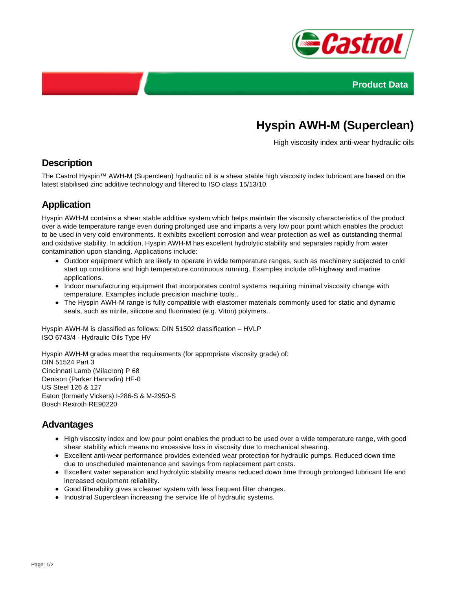



# **Hyspin AWH-M (Superclean)**

High viscosity index anti-wear hydraulic oils

#### **Description**

The Castrol Hyspin™ AWH-M (Superclean) hydraulic oil is a shear stable high viscosity index lubricant are based on the latest stabilised zinc additive technology and filtered to ISO class 15/13/10.

### **Application**

Hyspin AWH-M contains a shear stable additive system which helps maintain the viscosity characteristics of the product over a wide temperature range even during prolonged use and imparts a very low pour point which enables the product to be used in very cold environments. It exhibits excellent corrosion and wear protection as well as outstanding thermal and oxidative stability. In addition, Hyspin AWH-M has excellent hydrolytic stability and separates rapidly from water contamination upon standing. Applications include:

- Outdoor equipment which are likely to operate in wide temperature ranges, such as machinery subjected to cold start up conditions and high temperature continuous running. Examples include off-highway and marine applications.
- Indoor manufacturing equipment that incorporates control systems requiring minimal viscosity change with temperature. Examples include precision machine tools..
- The Hyspin AWH-M range is fully compatible with elastomer materials commonly used for static and dynamic seals, such as nitrile, silicone and fluorinated (e.g. Viton) polymers..

Hyspin AWH-M is classified as follows: DIN 51502 classification – HVLP ISO 6743/4 - Hydraulic Oils Type HV

Hyspin AWH-M grades meet the requirements (for appropriate viscosity grade) of: DIN 51524 Part 3 Cincinnati Lamb (Milacron) P 68 Denison (Parker Hannafin) HF-0 US Steel 126 & 127 Eaton (formerly Vickers) I-286-S & M-2950-S Bosch Rexroth RE90220

#### **Advantages**

- High viscosity index and low pour point enables the product to be used over a wide temperature range, with good shear stability which means no excessive loss in viscosity due to mechanical shearing.
- Excellent anti-wear performance provides extended wear protection for hydraulic pumps. Reduced down time due to unscheduled maintenance and savings from replacement part costs.
- Excellent water separation and hydrolytic stability means reduced down time through prolonged lubricant life and increased equipment reliability.
- Good filterability gives a cleaner system with less frequent filter changes.
- Industrial Superclean increasing the service life of hydraulic systems.